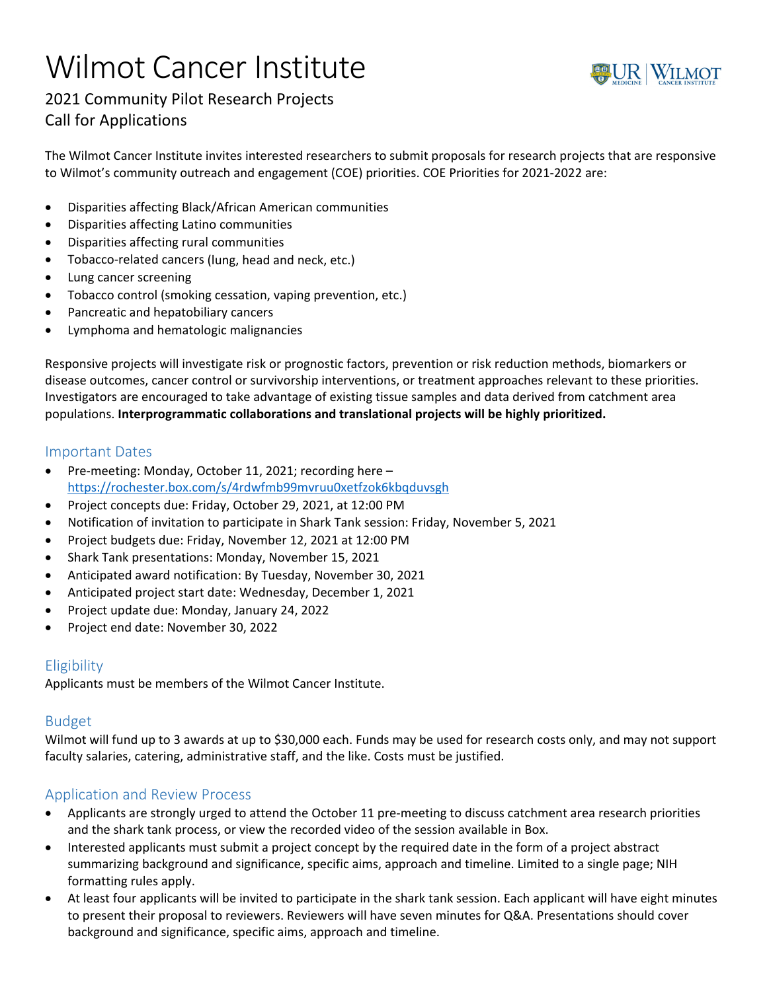# Wilmot Cancer Institute



# 2021 Community Pilot Research Projects Call for Applications

The Wilmot Cancer Institute invites interested researchers to submit proposals for research projects that are responsive to Wilmot's community outreach and engagement (COE) priorities. COE Priorities for 2021-2022 are:

- Disparities affecting Black/African American communities
- Disparities affecting Latino communities
- Disparities affecting rural communities
- Tobacco-related cancers (lung, head and neck, etc.)
- Lung cancer screening
- Tobacco control (smoking cessation, vaping prevention, etc.)
- Pancreatic and hepatobiliary cancers
- Lymphoma and hematologic malignancies

Responsive projects will investigate risk or prognostic factors, prevention or risk reduction methods, biomarkers or disease outcomes, cancer control or survivorship interventions, or treatment approaches relevant to these priorities. Investigators are encouraged to take advantage of existing tissue samples and data derived from catchment area populations. **Interprogrammatic collaborations and translational projects will be highly prioritized.**

#### Important Dates

- Pre-meeting: Monday, October 11, 2021; recording here https://rochester.box.com/s/4rdwfmb99mvruu0xetfzok6kbqduvsgh
- Project concepts due: Friday, October 29, 2021, at 12:00 PM
- Notification of invitation to participate in Shark Tank session: Friday, November 5, 2021
- Project budgets due: Friday, November 12, 2021 at 12:00 PM
- Shark Tank presentations: Monday, November 15, 2021
- Anticipated award notification: By Tuesday, November 30, 2021
- Anticipated project start date: Wednesday, December 1, 2021
- Project update due: Monday, January 24, 2022
- Project end date: November 30, 2022

## **Eligibility**

Applicants must be members of the Wilmot Cancer Institute.

#### Budget

Wilmot will fund up to 3 awards at up to \$30,000 each. Funds may be used for research costs only, and may not support faculty salaries, catering, administrative staff, and the like. Costs must be justified.

## Application and Review Process

- Applicants are strongly urged to attend the October 11 pre‐meeting to discuss catchment area research priorities and the shark tank process, or view the recorded video of the session available in Box.
- Interested applicants must submit a project concept by the required date in the form of a project abstract summarizing background and significance, specific aims, approach and timeline. Limited to a single page; NIH formatting rules apply.
- At least four applicants will be invited to participate in the shark tank session. Each applicant will have eight minutes to present their proposal to reviewers. Reviewers will have seven minutes for Q&A. Presentations should cover background and significance, specific aims, approach and timeline.